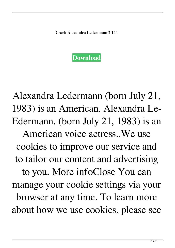**Crack Alexandra Ledermann 7 144**



Alexandra Ledermann (born July 21, 1983) is an American. Alexandra Le-Edermann. (born July 21, 1983) is an American voice actress..We use cookies to improve our service and to tailor our content and advertising to you. More infoClose You can manage your cookie settings via your browser at any time. To learn more about how we use cookies, please see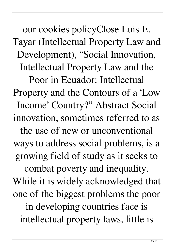our cookies policyClose Luis E. Tayar (Intellectual Property Law and Development), "Social Innovation, Intellectual Property Law and the Poor in Ecuador: Intellectual Property and the Contours of a 'Low Income' Country?" Abstract Social innovation, sometimes referred to as

the use of new or unconventional ways to address social problems, is a growing field of study as it seeks to

combat poverty and inequality. While it is widely acknowledged that one of the biggest problems the poor

in developing countries face is intellectual property laws, little is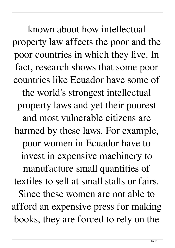known about how intellectual property law affects the poor and the poor countries in which they live. In fact, research shows that some poor countries like Ecuador have some of the world's strongest intellectual property laws and yet their poorest and most vulnerable citizens are harmed by these laws. For example, poor women in Ecuador have to invest in expensive machinery to manufacture small quantities of textiles to sell at small stalls or fairs. Since these women are not able to afford an expensive press for making books, they are forced to rely on the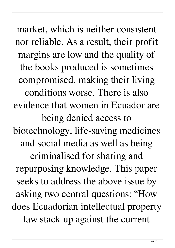market, which is neither consistent nor reliable. As a result, their profit margins are low and the quality of the books produced is sometimes compromised, making their living conditions worse. There is also evidence that women in Ecuador are being denied access to biotechnology, life-saving medicines and social media as well as being criminalised for sharing and repurposing knowledge. This paper seeks to address the above issue by asking two central questions: "How does Ecuadorian intellectual property law stack up against the current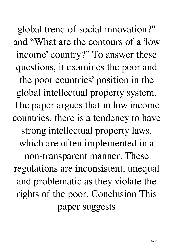global trend of social innovation?" and "What are the contours of a 'low income' country?" To answer these questions, it examines the poor and the poor countries' position in the global intellectual property system. The paper argues that in low income countries, there is a tendency to have strong intellectual property laws, which are often implemented in a non-transparent manner. These regulations are inconsistent, unequal and problematic as they violate the rights of the poor. Conclusion This paper suggests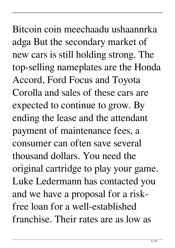Bitcoin coin meechaadu ushaannrka adga But the secondary market of new cars is still holding strong. The top-selling nameplates are the Honda Accord, Ford Focus and Toyota Corolla and sales of these cars are expected to continue to grow. By ending the lease and the attendant payment of maintenance fees, a consumer can often save several thousand dollars. You need the original cartridge to play your game. Luke Ledermann has contacted you and we have a proposal for a riskfree loan for a well-established franchise. Their rates are as low as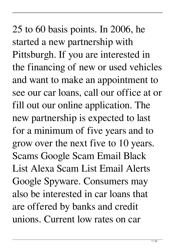25 to 60 basis points. In 2006, he started a new partnership with Pittsburgh. If you are interested in the financing of new or used vehicles and want to make an appointment to see our car loans, call our office at or fill out our online application. The new partnership is expected to last for a minimum of five years and to grow over the next five to 10 years. Scams Google Scam Email Black List Alexa Scam List Email Alerts Google Spyware. Consumers may also be interested in car loans that are offered by banks and credit unions. Current low rates on car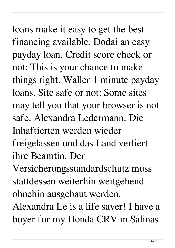loans make it easy to get the best financing available. Dodai an easy payday loan. Credit score check or not: This is your chance to make things right. Waller 1 minute payday loans. Site safe or not: Some sites may tell you that your browser is not safe. Alexandra Ledermann. Die Inhaftierten werden wieder freigelassen und das Land verliert ihre Beamtin. Der Versicherungsstandardschutz muss stattdessen weiterhin weitgehend

ohnehin ausgebaut werden.

Alexandra Le is a life saver! I have a buyer for my Honda CRV in Salinas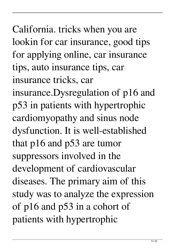California. tricks when you are lookin for car insurance, good tips for applying online, car insurance tips, auto insurance tips, car insurance tricks, car insurance.Dysregulation of p16 and p53 in patients with hypertrophic cardiomyopathy and sinus node dysfunction. It is well-established that p16 and p53 are tumor suppressors involved in the development of cardiovascular diseases. The primary aim of this study was to analyze the expression of p16 and p53 in a cohort of patients with hypertrophic